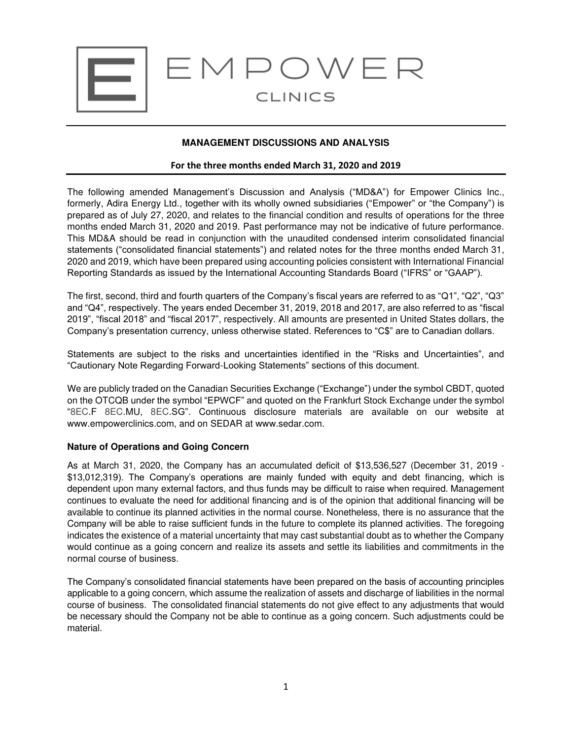

# **MANAGEMENT DISCUSSIONS AND ANALYSIS**

#### **For the three months ended March 31, 2020 and 2019**

The following amended Management's Discussion and Analysis ("MD&A") for Empower Clinics Inc., formerly, Adira Energy Ltd., together with its wholly owned subsidiaries ("Empower" or "the Company") is prepared as of July 27, 2020, and relates to the financial condition and results of operations for the three months ended March 31, 2020 and 2019. Past performance may not be indicative of future performance. This MD&A should be read in conjunction with the unaudited condensed interim consolidated financial statements ("consolidated financial statements") and related notes for the three months ended March 31, 2020 and 2019, which have been prepared using accounting policies consistent with International Financial Reporting Standards as issued by the International Accounting Standards Board ("IFRS" or "GAAP").

The first, second, third and fourth quarters of the Company's fiscal years are referred to as "Q1", "Q2", "Q3" and "Q4", respectively. The years ended December 31, 2019, 2018 and 2017, are also referred to as "fiscal 2019", "fiscal 2018" and "fiscal 2017", respectively. All amounts are presented in United States dollars, the Company's presentation currency, unless otherwise stated. References to "C\$" are to Canadian dollars.

Statements are subject to the risks and uncertainties identified in the "Risks and Uncertainties", and "Cautionary Note Regarding Forward-Looking Statements" sections of this document.

We are publicly traded on the Canadian Securities Exchange ("Exchange") under the symbol CBDT, quoted on the OTCQB under the symbol "EPWCF" and quoted on the Frankfurt Stock Exchange under the symbol "8EC.F 8EC.MU, 8EC.SG". Continuous disclosure materials are available on our website at www.empowerclinics.com, and on SEDAR at www.sedar.com.

### **Nature of Operations and Going Concern**

As at March 31, 2020, the Company has an accumulated deficit of \$13,536,527 (December 31, 2019 - \$13,012,319). The Company's operations are mainly funded with equity and debt financing, which is dependent upon many external factors, and thus funds may be difficult to raise when required. Management continues to evaluate the need for additional financing and is of the opinion that additional financing will be available to continue its planned activities in the normal course. Nonetheless, there is no assurance that the Company will be able to raise sufficient funds in the future to complete its planned activities. The foregoing indicates the existence of a material uncertainty that may cast substantial doubt as to whether the Company would continue as a going concern and realize its assets and settle its liabilities and commitments in the normal course of business.

The Company's consolidated financial statements have been prepared on the basis of accounting principles applicable to a going concern, which assume the realization of assets and discharge of liabilities in the normal course of business. The consolidated financial statements do not give effect to any adjustments that would be necessary should the Company not be able to continue as a going concern. Such adjustments could be material.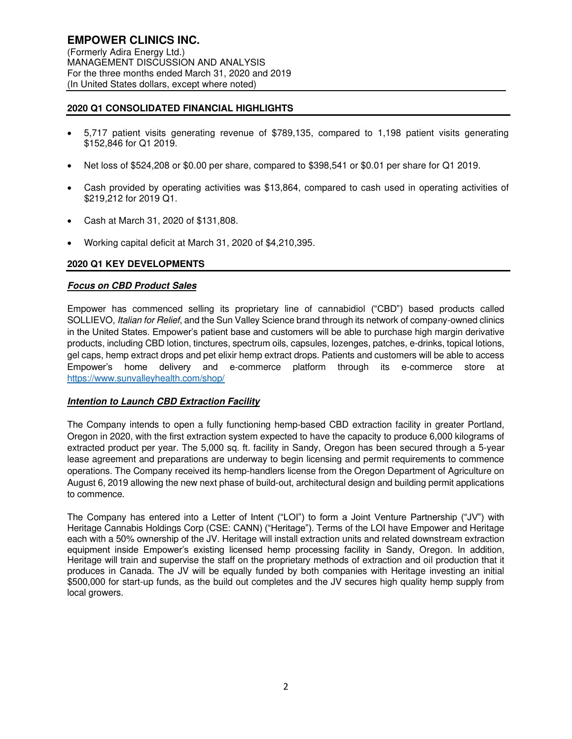# **2020 Q1 CONSOLIDATED FINANCIAL HIGHLIGHTS**

- 5,717 patient visits generating revenue of \$789,135, compared to 1,198 patient visits generating \$152,846 for Q1 2019.
- Net loss of \$524,208 or \$0.00 per share, compared to \$398,541 or \$0.01 per share for Q1 2019.
- Cash provided by operating activities was \$13,864, compared to cash used in operating activities of \$219,212 for 2019 Q1.
- Cash at March 31, 2020 of \$131,808.
- Working capital deficit at March 31, 2020 of \$4,210,395.

# **2020 Q1 KEY DEVELOPMENTS**

### **Focus on CBD Product Sales**

Empower has commenced selling its proprietary line of cannabidiol ("CBD") based products called SOLLIEVO, Italian for Relief, and the Sun Valley Science brand through its network of company-owned clinics in the United States. Empower's patient base and customers will be able to purchase high margin derivative products, including CBD lotion, tinctures, spectrum oils, capsules, lozenges, patches, e-drinks, topical lotions, gel caps, hemp extract drops and pet elixir hemp extract drops. Patients and customers will be able to access Empower's home delivery and e-commerce platform through its e-commerce store at https://www.sunvalleyhealth.com/shop/

### **Intention to Launch CBD Extraction Facility**

The Company intends to open a fully functioning hemp-based CBD extraction facility in greater Portland, Oregon in 2020, with the first extraction system expected to have the capacity to produce 6,000 kilograms of extracted product per year. The 5,000 sq. ft. facility in Sandy, Oregon has been secured through a 5-year lease agreement and preparations are underway to begin licensing and permit requirements to commence operations. The Company received its hemp-handlers license from the Oregon Department of Agriculture on August 6, 2019 allowing the new next phase of build-out, architectural design and building permit applications to commence.

The Company has entered into a Letter of Intent ("LOI") to form a Joint Venture Partnership ("JV") with Heritage Cannabis Holdings Corp (CSE: CANN) ("Heritage"). Terms of the LOI have Empower and Heritage each with a 50% ownership of the JV. Heritage will install extraction units and related downstream extraction equipment inside Empower's existing licensed hemp processing facility in Sandy, Oregon. In addition, Heritage will train and supervise the staff on the proprietary methods of extraction and oil production that it produces in Canada. The JV will be equally funded by both companies with Heritage investing an initial \$500,000 for start-up funds, as the build out completes and the JV secures high quality hemp supply from local growers.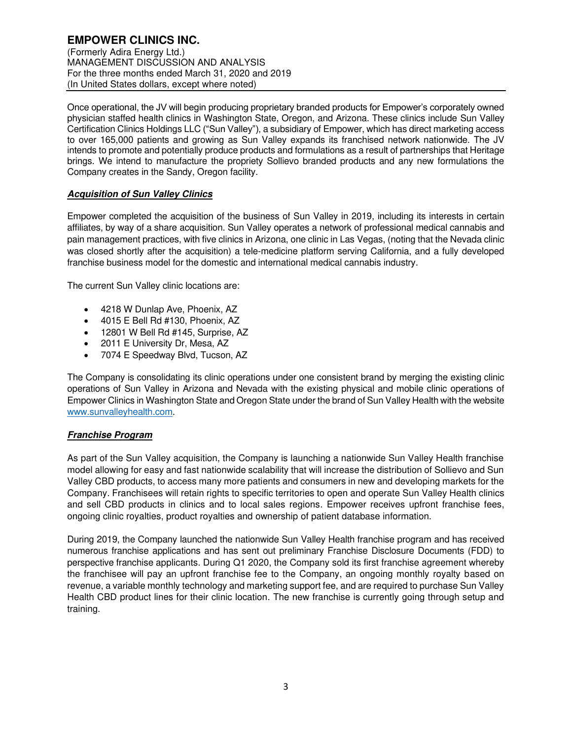# **EMPOWER CLINICS INC.**

(Formerly Adira Energy Ltd.) MANAGEMENT DISCUSSION AND ANALYSIS For the three months ended March 31, 2020 and 2019 (In United States dollars, except where noted)

Once operational, the JV will begin producing proprietary branded products for Empower's corporately owned physician staffed health clinics in Washington State, Oregon, and Arizona. These clinics include Sun Valley Certification Clinics Holdings LLC ("Sun Valley"), a subsidiary of Empower, which has direct marketing access to over 165,000 patients and growing as Sun Valley expands its franchised network nationwide. The JV intends to promote and potentially produce products and formulations as a result of partnerships that Heritage brings. We intend to manufacture the propriety Sollievo branded products and any new formulations the Company creates in the Sandy, Oregon facility.

# **Acquisition of Sun Valley Clinics**

Empower completed the acquisition of the business of Sun Valley in 2019, including its interests in certain affiliates, by way of a share acquisition. Sun Valley operates a network of professional medical cannabis and pain management practices, with five clinics in Arizona, one clinic in Las Vegas, (noting that the Nevada clinic was closed shortly after the acquisition) a tele-medicine platform serving California, and a fully developed franchise business model for the domestic and international medical cannabis industry.

The current Sun Valley clinic locations are:

- 4218 W Dunlap Ave, Phoenix, AZ
- 4015 E Bell Rd #130, Phoenix, AZ
- 12801 W Bell Rd #145, Surprise, AZ
- 2011 E University Dr, Mesa, AZ
- 7074 E Speedway Blvd, Tucson, AZ

The Company is consolidating its clinic operations under one consistent brand by merging the existing clinic operations of Sun Valley in Arizona and Nevada with the existing physical and mobile clinic operations of Empower Clinics in Washington State and Oregon State under the brand of Sun Valley Health with the website www.sunvalleyhealth.com.

# **Franchise Program**

As part of the Sun Valley acquisition, the Company is launching a nationwide Sun Valley Health franchise model allowing for easy and fast nationwide scalability that will increase the distribution of Sollievo and Sun Valley CBD products, to access many more patients and consumers in new and developing markets for the Company. Franchisees will retain rights to specific territories to open and operate Sun Valley Health clinics and sell CBD products in clinics and to local sales regions. Empower receives upfront franchise fees, ongoing clinic royalties, product royalties and ownership of patient database information.

During 2019, the Company launched the nationwide Sun Valley Health franchise program and has received numerous franchise applications and has sent out preliminary Franchise Disclosure Documents (FDD) to perspective franchise applicants. During Q1 2020, the Company sold its first franchise agreement whereby the franchisee will pay an upfront franchise fee to the Company, an ongoing monthly royalty based on revenue, a variable monthly technology and marketing support fee, and are required to purchase Sun Valley Health CBD product lines for their clinic location. The new franchise is currently going through setup and training.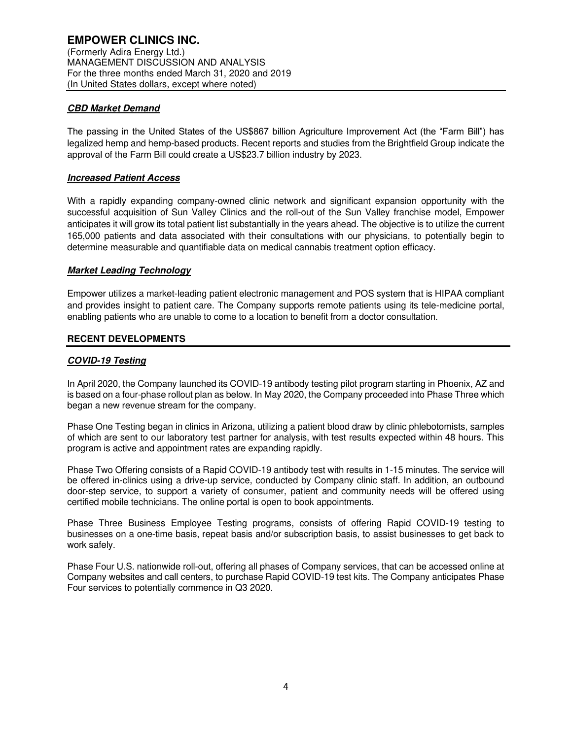# **CBD Market Demand**

The passing in the United States of the US\$867 billion Agriculture Improvement Act (the "Farm Bill") has legalized hemp and hemp-based products. Recent reports and studies from the Brightfield Group indicate the approval of the Farm Bill could create a US\$23.7 billion industry by 2023.

# **Increased Patient Access**

With a rapidly expanding company-owned clinic network and significant expansion opportunity with the successful acquisition of Sun Valley Clinics and the roll-out of the Sun Valley franchise model, Empower anticipates it will grow its total patient list substantially in the years ahead. The objective is to utilize the current 165,000 patients and data associated with their consultations with our physicians, to potentially begin to determine measurable and quantifiable data on medical cannabis treatment option efficacy.

# **Market Leading Technology**

Empower utilizes a market-leading patient electronic management and POS system that is HIPAA compliant and provides insight to patient care. The Company supports remote patients using its tele-medicine portal, enabling patients who are unable to come to a location to benefit from a doctor consultation.

### **RECENT DEVELOPMENTS**

# **COVID-19 Testing**

In April 2020, the Company launched its COVID-19 antibody testing pilot program starting in Phoenix, AZ and is based on a four-phase rollout plan as below. In May 2020, the Company proceeded into Phase Three which began a new revenue stream for the company.

Phase One Testing began in clinics in Arizona, utilizing a patient blood draw by clinic phlebotomists, samples of which are sent to our laboratory test partner for analysis, with test results expected within 48 hours. This program is active and appointment rates are expanding rapidly.

Phase Two Offering consists of a Rapid COVID-19 antibody test with results in 1-15 minutes. The service will be offered in-clinics using a drive-up service, conducted by Company clinic staff. In addition, an outbound door-step service, to support a variety of consumer, patient and community needs will be offered using certified mobile technicians. The online portal is open to book appointments.

Phase Three Business Employee Testing programs, consists of offering Rapid COVID-19 testing to businesses on a one-time basis, repeat basis and/or subscription basis, to assist businesses to get back to work safely.

Phase Four U.S. nationwide roll-out, offering all phases of Company services, that can be accessed online at Company websites and call centers, to purchase Rapid COVID-19 test kits. The Company anticipates Phase Four services to potentially commence in Q3 2020.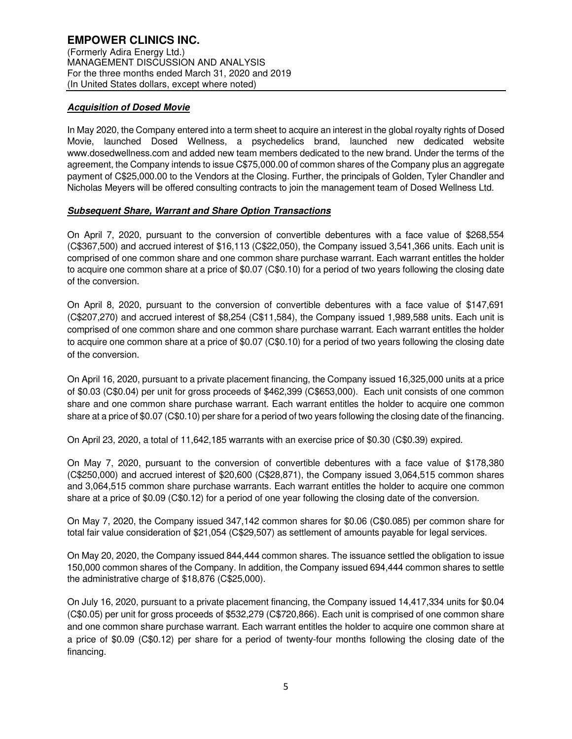# **Acquisition of Dosed Movie**

In May 2020, the Company entered into a term sheet to acquire an interest in the global royalty rights of Dosed Movie, launched Dosed Wellness, a psychedelics brand, launched new dedicated website www.dosedwellness.com and added new team members dedicated to the new brand. Under the terms of the agreement, the Company intends to issue C\$75,000.00 of common shares of the Company plus an aggregate payment of C\$25,000.00 to the Vendors at the Closing. Further, the principals of Golden, Tyler Chandler and Nicholas Meyers will be offered consulting contracts to join the management team of Dosed Wellness Ltd.

# **Subsequent Share, Warrant and Share Option Transactions**

On April 7, 2020, pursuant to the conversion of convertible debentures with a face value of \$268,554 (C\$367,500) and accrued interest of \$16,113 (C\$22,050), the Company issued 3,541,366 units. Each unit is comprised of one common share and one common share purchase warrant. Each warrant entitles the holder to acquire one common share at a price of \$0.07 (C\$0.10) for a period of two years following the closing date of the conversion.

On April 8, 2020, pursuant to the conversion of convertible debentures with a face value of \$147,691 (C\$207,270) and accrued interest of \$8,254 (C\$11,584), the Company issued 1,989,588 units. Each unit is comprised of one common share and one common share purchase warrant. Each warrant entitles the holder to acquire one common share at a price of \$0.07 (C\$0.10) for a period of two years following the closing date of the conversion.

On April 16, 2020, pursuant to a private placement financing, the Company issued 16,325,000 units at a price of \$0.03 (C\$0.04) per unit for gross proceeds of \$462,399 (C\$653,000). Each unit consists of one common share and one common share purchase warrant. Each warrant entitles the holder to acquire one common share at a price of \$0.07 (C\$0.10) per share for a period of two years following the closing date of the financing.

On April 23, 2020, a total of 11,642,185 warrants with an exercise price of \$0.30 (C\$0.39) expired.

On May 7, 2020, pursuant to the conversion of convertible debentures with a face value of \$178,380 (C\$250,000) and accrued interest of \$20,600 (C\$28,871), the Company issued 3,064,515 common shares and 3,064,515 common share purchase warrants. Each warrant entitles the holder to acquire one common share at a price of \$0.09 (C\$0.12) for a period of one year following the closing date of the conversion.

On May 7, 2020, the Company issued 347,142 common shares for \$0.06 (C\$0.085) per common share for total fair value consideration of \$21,054 (C\$29,507) as settlement of amounts payable for legal services.

On May 20, 2020, the Company issued 844,444 common shares. The issuance settled the obligation to issue 150,000 common shares of the Company. In addition, the Company issued 694,444 common shares to settle the administrative charge of \$18,876 (C\$25,000).

On July 16, 2020, pursuant to a private placement financing, the Company issued 14,417,334 units for \$0.04 (C\$0.05) per unit for gross proceeds of \$532,279 (C\$720,866). Each unit is comprised of one common share and one common share purchase warrant. Each warrant entitles the holder to acquire one common share at a price of \$0.09 (C\$0.12) per share for a period of twenty-four months following the closing date of the financing.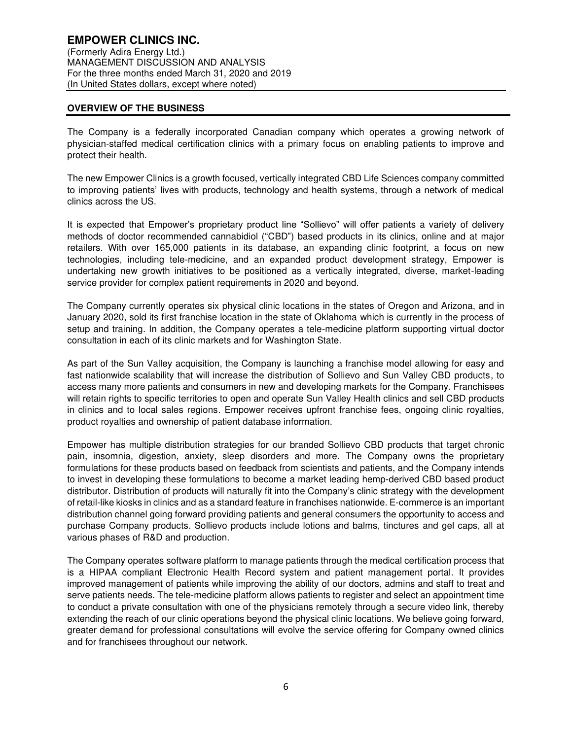## **OVERVIEW OF THE BUSINESS**

The Company is a federally incorporated Canadian company which operates a growing network of physician-staffed medical certification clinics with a primary focus on enabling patients to improve and protect their health.

The new Empower Clinics is a growth focused, vertically integrated CBD Life Sciences company committed to improving patients' lives with products, technology and health systems, through a network of medical clinics across the US.

It is expected that Empower's proprietary product line "Sollievo" will offer patients a variety of delivery methods of doctor recommended cannabidiol ("CBD") based products in its clinics, online and at major retailers. With over 165,000 patients in its database, an expanding clinic footprint, a focus on new technologies, including tele-medicine, and an expanded product development strategy, Empower is undertaking new growth initiatives to be positioned as a vertically integrated, diverse, market-leading service provider for complex patient requirements in 2020 and beyond.

The Company currently operates six physical clinic locations in the states of Oregon and Arizona, and in January 2020, sold its first franchise location in the state of Oklahoma which is currently in the process of setup and training. In addition, the Company operates a tele-medicine platform supporting virtual doctor consultation in each of its clinic markets and for Washington State.

As part of the Sun Valley acquisition, the Company is launching a franchise model allowing for easy and fast nationwide scalability that will increase the distribution of Sollievo and Sun Valley CBD products, to access many more patients and consumers in new and developing markets for the Company. Franchisees will retain rights to specific territories to open and operate Sun Valley Health clinics and sell CBD products in clinics and to local sales regions. Empower receives upfront franchise fees, ongoing clinic royalties, product royalties and ownership of patient database information.

Empower has multiple distribution strategies for our branded Sollievo CBD products that target chronic pain, insomnia, digestion, anxiety, sleep disorders and more. The Company owns the proprietary formulations for these products based on feedback from scientists and patients, and the Company intends to invest in developing these formulations to become a market leading hemp-derived CBD based product distributor. Distribution of products will naturally fit into the Company's clinic strategy with the development of retail-like kiosks in clinics and as a standard feature in franchises nationwide. E-commerce is an important distribution channel going forward providing patients and general consumers the opportunity to access and purchase Company products. Sollievo products include lotions and balms, tinctures and gel caps, all at various phases of R&D and production.

The Company operates software platform to manage patients through the medical certification process that is a HIPAA compliant Electronic Health Record system and patient management portal. It provides improved management of patients while improving the ability of our doctors, admins and staff to treat and serve patients needs. The tele-medicine platform allows patients to register and select an appointment time to conduct a private consultation with one of the physicians remotely through a secure video link, thereby extending the reach of our clinic operations beyond the physical clinic locations. We believe going forward, greater demand for professional consultations will evolve the service offering for Company owned clinics and for franchisees throughout our network.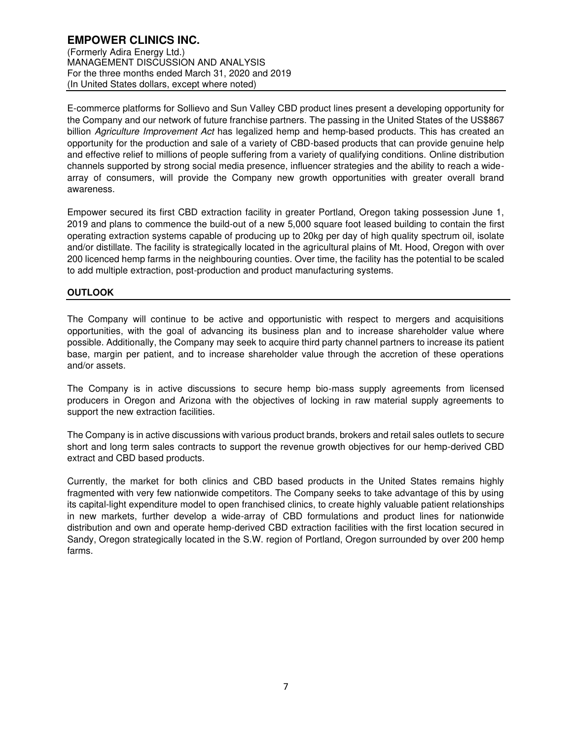E-commerce platforms for Sollievo and Sun Valley CBD product lines present a developing opportunity for the Company and our network of future franchise partners. The passing in the United States of the US\$867 billion Agriculture Improvement Act has legalized hemp and hemp-based products. This has created an opportunity for the production and sale of a variety of CBD-based products that can provide genuine help and effective relief to millions of people suffering from a variety of qualifying conditions. Online distribution channels supported by strong social media presence, influencer strategies and the ability to reach a widearray of consumers, will provide the Company new growth opportunities with greater overall brand awareness.

Empower secured its first CBD extraction facility in greater Portland, Oregon taking possession June 1, 2019 and plans to commence the build-out of a new 5,000 square foot leased building to contain the first operating extraction systems capable of producing up to 20kg per day of high quality spectrum oil, isolate and/or distillate. The facility is strategically located in the agricultural plains of Mt. Hood, Oregon with over 200 licenced hemp farms in the neighbouring counties. Over time, the facility has the potential to be scaled to add multiple extraction, post-production and product manufacturing systems.

# **OUTLOOK**

The Company will continue to be active and opportunistic with respect to mergers and acquisitions opportunities, with the goal of advancing its business plan and to increase shareholder value where possible. Additionally, the Company may seek to acquire third party channel partners to increase its patient base, margin per patient, and to increase shareholder value through the accretion of these operations and/or assets.

The Company is in active discussions to secure hemp bio-mass supply agreements from licensed producers in Oregon and Arizona with the objectives of locking in raw material supply agreements to support the new extraction facilities.

The Company is in active discussions with various product brands, brokers and retail sales outlets to secure short and long term sales contracts to support the revenue growth objectives for our hemp-derived CBD extract and CBD based products.

Currently, the market for both clinics and CBD based products in the United States remains highly fragmented with very few nationwide competitors. The Company seeks to take advantage of this by using its capital-light expenditure model to open franchised clinics, to create highly valuable patient relationships in new markets, further develop a wide-array of CBD formulations and product lines for nationwide distribution and own and operate hemp-derived CBD extraction facilities with the first location secured in Sandy, Oregon strategically located in the S.W. region of Portland, Oregon surrounded by over 200 hemp farms.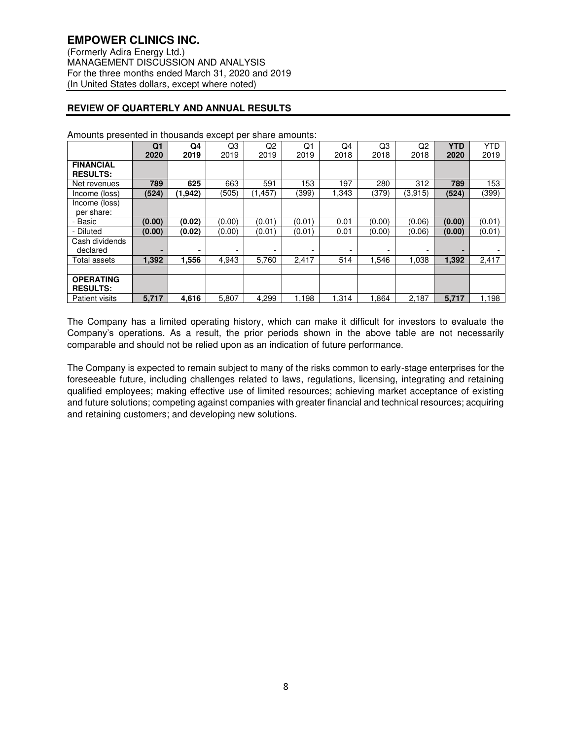# **REVIEW OF QUARTERLY AND ANNUAL RESULTS**

| .<br><u>P.o.</u>      |                |         | ----   |          |        |       |        |                |            |            |
|-----------------------|----------------|---------|--------|----------|--------|-------|--------|----------------|------------|------------|
|                       | Q <sub>1</sub> | Q4      | Q3     | Q2       | Q1     | Q4    | Q3     | Q <sub>2</sub> | <b>YTD</b> | <b>YTD</b> |
|                       | 2020           | 2019    | 2019   | 2019     | 2019   | 2018  | 2018   | 2018           | 2020       | 2019       |
| <b>FINANCIAL</b>      |                |         |        |          |        |       |        |                |            |            |
| <b>RESULTS:</b>       |                |         |        |          |        |       |        |                |            |            |
| Net revenues          | 789            | 625     | 663    | 591      | 153    | 197   | 280    | 312            | 789        | 153        |
| Income (loss)         | (524)          | (1.942) | (505)  | (1, 457) | (399)  | 1.343 | (379)  | (3,915)        | (524)      | (399)      |
| Income (loss)         |                |         |        |          |        |       |        |                |            |            |
| per share:            |                |         |        |          |        |       |        |                |            |            |
| - Basic               | (0.00)         | (0.02)  | (0.00) | (0.01)   | (0.01) | 0.01  | (0.00) | (0.06)         | (0.00)     | (0.01)     |
| - Diluted             | (0.00)         | (0.02)  | (0.00) | (0.01)   | (0.01) | 0.01  | (0.00) | (0.06)         | (0.00)     | (0.01)     |
| Cash dividends        |                |         |        |          |        |       |        |                |            |            |
| declared              | -              | ۰       |        |          |        | -     |        | -              |            |            |
| Total assets          | 1,392          | 1,556   | 4,943  | 5,760    | 2,417  | 514   | 1,546  | 1,038          | 1,392      | 2,417      |
|                       |                |         |        |          |        |       |        |                |            |            |
| <b>OPERATING</b>      |                |         |        |          |        |       |        |                |            |            |
| <b>RESULTS:</b>       |                |         |        |          |        |       |        |                |            |            |
| <b>Patient visits</b> | 5,717          | 4,616   | 5,807  | 4,299    | 1,198  | 1,314 | .864   | 2,187          | 5,717      | 1,198      |

Amounts presented in thousands except per share amounts:

The Company has a limited operating history, which can make it difficult for investors to evaluate the Company's operations. As a result, the prior periods shown in the above table are not necessarily comparable and should not be relied upon as an indication of future performance.

The Company is expected to remain subject to many of the risks common to early-stage enterprises for the foreseeable future, including challenges related to laws, regulations, licensing, integrating and retaining qualified employees; making effective use of limited resources; achieving market acceptance of existing and future solutions; competing against companies with greater financial and technical resources; acquiring and retaining customers; and developing new solutions.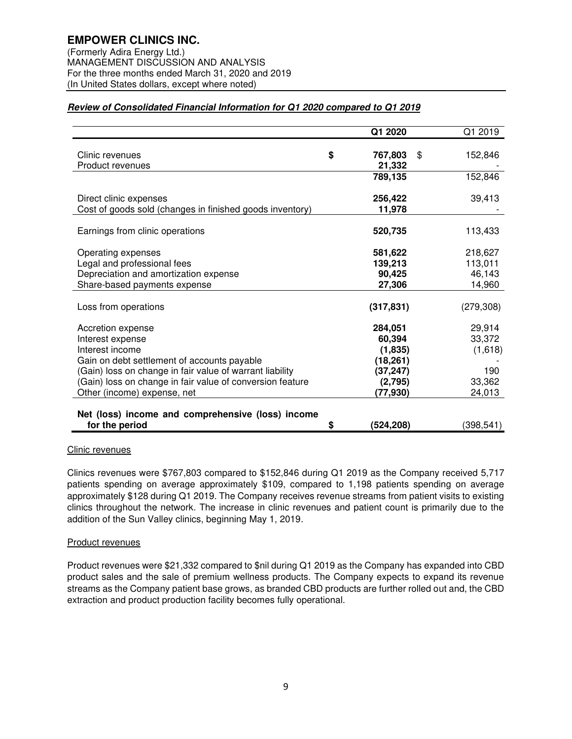(Formerly Adira Energy Ltd.) MANAGEMENT DISCUSSION AND ANALYSIS For the three months ended March 31, 2020 and 2019 (In United States dollars, except where noted)

# **Review of Consolidated Financial Information for Q1 2020 compared to Q1 2019**

|                                                           | Q1 2020         | Q1 2019       |
|-----------------------------------------------------------|-----------------|---------------|
|                                                           |                 |               |
| Clinic revenues                                           | \$<br>767,803   | \$<br>152,846 |
| Product revenues                                          | 21,332          |               |
|                                                           | 789,135         | 152,846       |
|                                                           |                 |               |
| Direct clinic expenses                                    | 256,422         | 39,413        |
| Cost of goods sold (changes in finished goods inventory)  | 11,978          |               |
|                                                           |                 |               |
| Earnings from clinic operations                           | 520,735         | 113,433       |
|                                                           |                 |               |
| Operating expenses                                        | 581,622         | 218,627       |
| Legal and professional fees                               | 139,213         | 113,011       |
| Depreciation and amortization expense                     | 90,425          | 46,143        |
| Share-based payments expense                              | 27,306          | 14,960        |
|                                                           |                 |               |
| Loss from operations                                      | (317, 831)      | (279, 308)    |
| Accretion expense                                         | 284,051         | 29,914        |
| Interest expense                                          | 60,394          | 33,372        |
| Interest income                                           | (1,835)         | (1,618)       |
| Gain on debt settlement of accounts payable               | (18, 261)       |               |
|                                                           |                 | 190           |
| (Gain) loss on change in fair value of warrant liability  | (37, 247)       |               |
| (Gain) loss on change in fair value of conversion feature | (2,795)         | 33,362        |
| Other (income) expense, net                               | (77,930)        | 24,013        |
| Net (loss) income and comprehensive (loss) income         |                 |               |
| for the period                                            | \$<br>(524,208) | (398, 541)    |

### Clinic revenues

Clinics revenues were \$767,803 compared to \$152,846 during Q1 2019 as the Company received 5,717 patients spending on average approximately \$109, compared to 1,198 patients spending on average approximately \$128 during Q1 2019. The Company receives revenue streams from patient visits to existing clinics throughout the network. The increase in clinic revenues and patient count is primarily due to the addition of the Sun Valley clinics, beginning May 1, 2019.

# Product revenues

Product revenues were \$21,332 compared to \$nil during Q1 2019 as the Company has expanded into CBD product sales and the sale of premium wellness products. The Company expects to expand its revenue streams as the Company patient base grows, as branded CBD products are further rolled out and, the CBD extraction and product production facility becomes fully operational.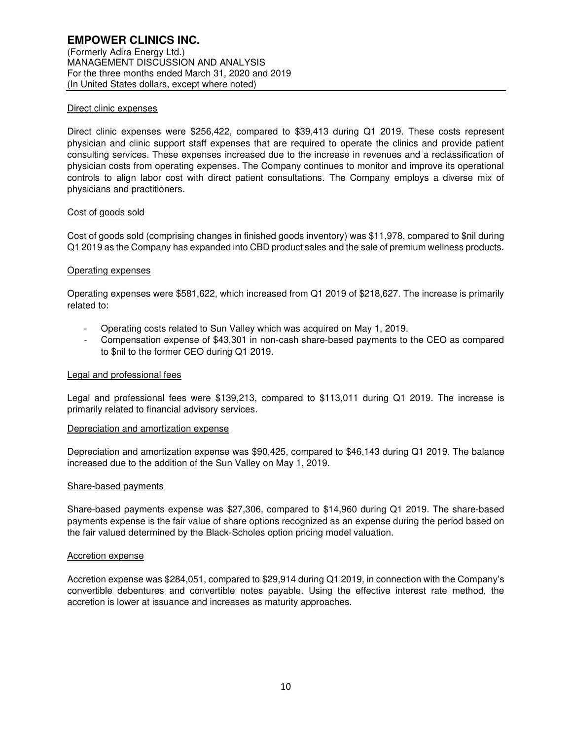### Direct clinic expenses

Direct clinic expenses were \$256,422, compared to \$39,413 during Q1 2019. These costs represent physician and clinic support staff expenses that are required to operate the clinics and provide patient consulting services. These expenses increased due to the increase in revenues and a reclassification of physician costs from operating expenses. The Company continues to monitor and improve its operational controls to align labor cost with direct patient consultations. The Company employs a diverse mix of physicians and practitioners.

### Cost of goods sold

Cost of goods sold (comprising changes in finished goods inventory) was \$11,978, compared to \$nil during Q1 2019 as the Company has expanded into CBD product sales and the sale of premium wellness products.

#### Operating expenses

Operating expenses were \$581,622, which increased from Q1 2019 of \$218,627. The increase is primarily related to:

- Operating costs related to Sun Valley which was acquired on May 1, 2019.
- Compensation expense of \$43,301 in non-cash share-based payments to the CEO as compared to \$nil to the former CEO during Q1 2019.

#### Legal and professional fees

Legal and professional fees were \$139,213, compared to \$113,011 during Q1 2019. The increase is primarily related to financial advisory services.

#### Depreciation and amortization expense

Depreciation and amortization expense was \$90,425, compared to \$46,143 during Q1 2019. The balance increased due to the addition of the Sun Valley on May 1, 2019.

#### Share-based payments

Share-based payments expense was \$27,306, compared to \$14,960 during Q1 2019. The share-based payments expense is the fair value of share options recognized as an expense during the period based on the fair valued determined by the Black-Scholes option pricing model valuation.

#### Accretion expense

Accretion expense was \$284,051, compared to \$29,914 during Q1 2019, in connection with the Company's convertible debentures and convertible notes payable. Using the effective interest rate method, the accretion is lower at issuance and increases as maturity approaches.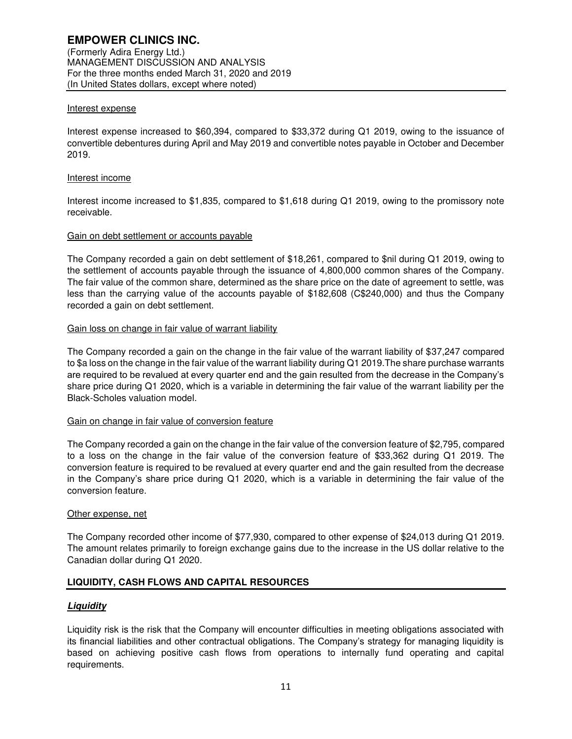### Interest expense

Interest expense increased to \$60,394, compared to \$33,372 during Q1 2019, owing to the issuance of convertible debentures during April and May 2019 and convertible notes payable in October and December 2019.

#### Interest income

Interest income increased to \$1,835, compared to \$1,618 during Q1 2019, owing to the promissory note receivable.

### Gain on debt settlement or accounts payable

The Company recorded a gain on debt settlement of \$18,261, compared to \$nil during Q1 2019, owing to the settlement of accounts payable through the issuance of 4,800,000 common shares of the Company. The fair value of the common share, determined as the share price on the date of agreement to settle, was less than the carrying value of the accounts payable of \$182,608 (C\$240,000) and thus the Company recorded a gain on debt settlement.

## Gain loss on change in fair value of warrant liability

The Company recorded a gain on the change in the fair value of the warrant liability of \$37,247 compared to \$a loss on the change in the fair value of the warrant liability during Q1 2019.The share purchase warrants are required to be revalued at every quarter end and the gain resulted from the decrease in the Company's share price during Q1 2020, which is a variable in determining the fair value of the warrant liability per the Black-Scholes valuation model.

### Gain on change in fair value of conversion feature

The Company recorded a gain on the change in the fair value of the conversion feature of \$2,795, compared to a loss on the change in the fair value of the conversion feature of \$33,362 during Q1 2019. The conversion feature is required to be revalued at every quarter end and the gain resulted from the decrease in the Company's share price during Q1 2020, which is a variable in determining the fair value of the conversion feature.

#### Other expense, net

The Company recorded other income of \$77,930, compared to other expense of \$24,013 during Q1 2019. The amount relates primarily to foreign exchange gains due to the increase in the US dollar relative to the Canadian dollar during Q1 2020.

### **LIQUIDITY, CASH FLOWS AND CAPITAL RESOURCES**

### **Liquidity**

Liquidity risk is the risk that the Company will encounter difficulties in meeting obligations associated with its financial liabilities and other contractual obligations. The Company's strategy for managing liquidity is based on achieving positive cash flows from operations to internally fund operating and capital requirements.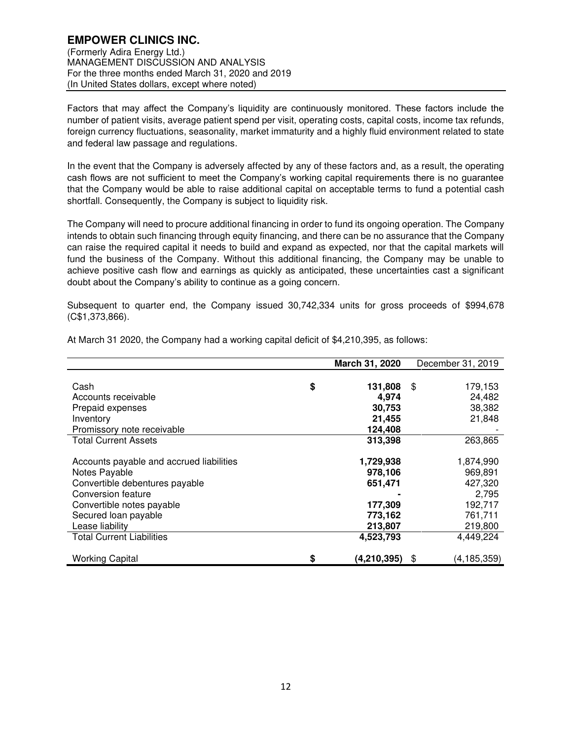## **EMPOWER CLINICS INC.**  (Formerly Adira Energy Ltd.) MANAGEMENT DISCUSSION AND ANALYSIS For the three months ended March 31, 2020 and 2019 (In United States dollars, except where noted)

Factors that may affect the Company's liquidity are continuously monitored. These factors include the number of patient visits, average patient spend per visit, operating costs, capital costs, income tax refunds, foreign currency fluctuations, seasonality, market immaturity and a highly fluid environment related to state and federal law passage and regulations.

In the event that the Company is adversely affected by any of these factors and, as a result, the operating cash flows are not sufficient to meet the Company's working capital requirements there is no guarantee that the Company would be able to raise additional capital on acceptable terms to fund a potential cash shortfall. Consequently, the Company is subject to liquidity risk.

The Company will need to procure additional financing in order to fund its ongoing operation. The Company intends to obtain such financing through equity financing, and there can be no assurance that the Company can raise the required capital it needs to build and expand as expected, nor that the capital markets will fund the business of the Company. Without this additional financing, the Company may be unable to achieve positive cash flow and earnings as quickly as anticipated, these uncertainties cast a significant doubt about the Company's ability to continue as a going concern.

Subsequent to quarter end, the Company issued 30,742,334 units for gross proceeds of \$994,678 (C\$1,373,866).

|                                          | March 31, 2020    | December 31, 2019   |
|------------------------------------------|-------------------|---------------------|
|                                          |                   |                     |
| Cash                                     | \$<br>131,808     | 179,153<br>\$       |
| Accounts receivable                      | 4,974             | 24,482              |
| Prepaid expenses                         | 30,753            | 38,382              |
| Inventory                                | 21,455            | 21,848              |
| Promissory note receivable               | 124,408           |                     |
| <b>Total Current Assets</b>              | 313,398           | 263,865             |
|                                          |                   |                     |
| Accounts payable and accrued liabilities | 1,729,938         | 1,874,990           |
| Notes Payable                            | 978,106           | 969,891             |
| Convertible debentures payable           | 651,471           | 427,320             |
| Conversion feature                       |                   | 2,795               |
| Convertible notes payable                | 177,309           | 192,717             |
| Secured loan payable                     | 773,162           | 761,711             |
| Lease liability                          | 213,807           | 219,800             |
| <b>Total Current Liabilities</b>         | 4,523,793         | 4,449,224           |
| <b>Working Capital</b>                   | \$<br>(4,210,395) | (4, 185, 359)<br>\$ |

At March 31 2020, the Company had a working capital deficit of \$4,210,395, as follows: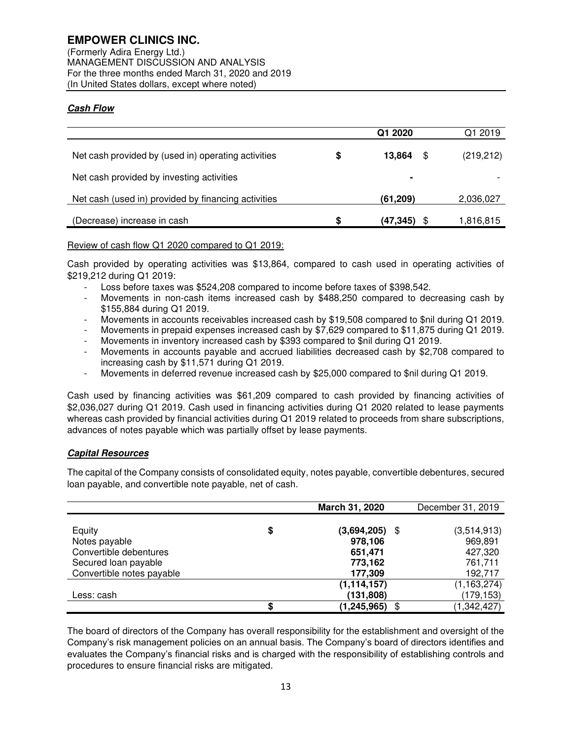(Formerly Adira Energy Ltd.) MANAGEMENT DISCUSSION AND ANALYSIS For the three months ended March 31, 2020 and 2019 (In United States dollars, except where noted)

# **Cash Flow**

|                                                     |    | Q1 2020       | Q1 2019    |
|-----------------------------------------------------|----|---------------|------------|
| Net cash provided by (used in) operating activities | \$ | 13.864<br>\$. | (219, 212) |
| Net cash provided by investing activities           |    | ٠             |            |
| Net cash (used in) provided by financing activities |    | (61, 209)     | 2,036,027  |
| (Decrease) increase in cash                         | S  | (47.345)      | 1,816,815  |

# Review of cash flow Q1 2020 compared to Q1 2019:

Cash provided by operating activities was \$13,864, compared to cash used in operating activities of \$219,212 during Q1 2019:

- Loss before taxes was \$524,208 compared to income before taxes of \$398,542.
- Movements in non-cash items increased cash by \$488,250 compared to decreasing cash by \$155,884 during Q1 2019.
- Movements in accounts receivables increased cash by \$19,508 compared to \$nil during Q1 2019.
- Movements in prepaid expenses increased cash by \$7,629 compared to \$11,875 during Q1 2019.
- Movements in inventory increased cash by \$393 compared to \$nil during Q1 2019.
- Movements in accounts payable and accrued liabilities decreased cash by \$2,708 compared to increasing cash by \$11,571 during Q1 2019.
- Movements in deferred revenue increased cash by \$25,000 compared to \$nil during Q1 2019.

Cash used by financing activities was \$61,209 compared to cash provided by financing activities of \$2,036,027 during Q1 2019. Cash used in financing activities during Q1 2020 related to lease payments whereas cash provided by financial activities during Q1 2019 related to proceeds from share subscriptions, advances of notes payable which was partially offset by lease payments.

# **Capital Resources**

The capital of the Company consists of consolidated equity, notes payable, convertible debentures, secured loan payable, and convertible note payable, net of cash.

|                           |    | March 31, 2020     | December 31, 2019 |
|---------------------------|----|--------------------|-------------------|
|                           |    |                    |                   |
| Equity                    | \$ | (3,694,205)<br>\$  | (3,514,913)       |
| Notes payable             |    | 978,106            | 969,891           |
| Convertible debentures    |    | 651,471            | 427,320           |
| Secured loan payable      |    | 773,162            | 761,711           |
| Convertible notes payable |    | 177,309            | 192,717           |
|                           |    | (1, 114, 157)      | (1, 163, 274)     |
| Less: cash                |    | (131, 808)         | (179,153)         |
|                           | S  | (1, 245, 965)<br>S | (1, 342, 427)     |

The board of directors of the Company has overall responsibility for the establishment and oversight of the Company's risk management policies on an annual basis. The Company's board of directors identifies and evaluates the Company's financial risks and is charged with the responsibility of establishing controls and procedures to ensure financial risks are mitigated.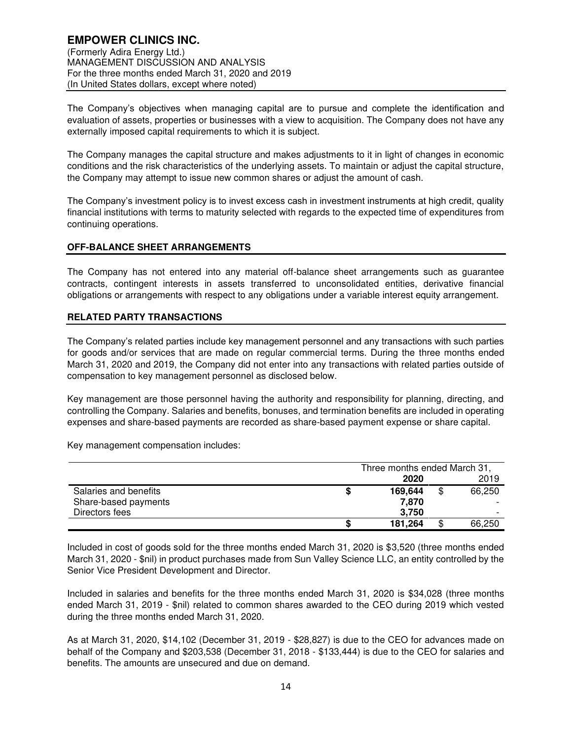The Company's objectives when managing capital are to pursue and complete the identification and evaluation of assets, properties or businesses with a view to acquisition. The Company does not have any externally imposed capital requirements to which it is subject.

The Company manages the capital structure and makes adjustments to it in light of changes in economic conditions and the risk characteristics of the underlying assets. To maintain or adjust the capital structure, the Company may attempt to issue new common shares or adjust the amount of cash.

The Company's investment policy is to invest excess cash in investment instruments at high credit, quality financial institutions with terms to maturity selected with regards to the expected time of expenditures from continuing operations.

# **OFF-BALANCE SHEET ARRANGEMENTS**

The Company has not entered into any material off-balance sheet arrangements such as guarantee contracts, contingent interests in assets transferred to unconsolidated entities, derivative financial obligations or arrangements with respect to any obligations under a variable interest equity arrangement.

### **RELATED PARTY TRANSACTIONS**

The Company's related parties include key management personnel and any transactions with such parties for goods and/or services that are made on regular commercial terms. During the three months ended March 31, 2020 and 2019, the Company did not enter into any transactions with related parties outside of compensation to key management personnel as disclosed below.

Key management are those personnel having the authority and responsibility for planning, directing, and controlling the Company. Salaries and benefits, bonuses, and termination benefits are included in operating expenses and share-based payments are recorded as share-based payment expense or share capital.

Key management compensation includes:

|                       |   | Three months ended March 31, |              |
|-----------------------|---|------------------------------|--------------|
|                       |   | 2020                         | 2019         |
| Salaries and benefits | S | 169.644                      | \$<br>66.250 |
| Share-based payments  |   | 7.870                        |              |
| Directors fees        |   | 3.750                        |              |
|                       |   | 181,264                      | \$<br>66.250 |

Included in cost of goods sold for the three months ended March 31, 2020 is \$3,520 (three months ended March 31, 2020 - \$nil) in product purchases made from Sun Valley Science LLC, an entity controlled by the Senior Vice President Development and Director.

Included in salaries and benefits for the three months ended March 31, 2020 is \$34,028 (three months ended March 31, 2019 - \$nil) related to common shares awarded to the CEO during 2019 which vested during the three months ended March 31, 2020.

As at March 31, 2020, \$14,102 (December 31, 2019 - \$28,827) is due to the CEO for advances made on behalf of the Company and \$203,538 (December 31, 2018 - \$133,444) is due to the CEO for salaries and benefits. The amounts are unsecured and due on demand.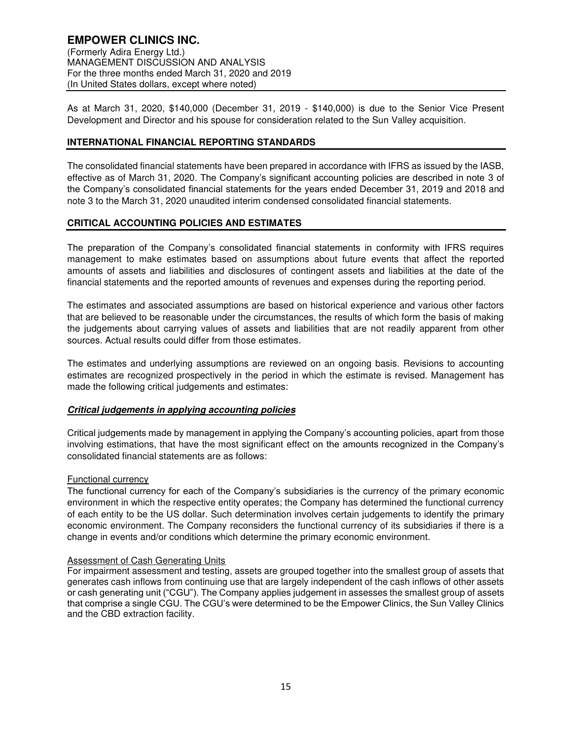As at March 31, 2020, \$140,000 (December 31, 2019 - \$140,000) is due to the Senior Vice Present Development and Director and his spouse for consideration related to the Sun Valley acquisition.

# **INTERNATIONAL FINANCIAL REPORTING STANDARDS**

The consolidated financial statements have been prepared in accordance with IFRS as issued by the IASB, effective as of March 31, 2020. The Company's significant accounting policies are described in note 3 of the Company's consolidated financial statements for the years ended December 31, 2019 and 2018 and note 3 to the March 31, 2020 unaudited interim condensed consolidated financial statements.

# **CRITICAL ACCOUNTING POLICIES AND ESTIMATES**

The preparation of the Company's consolidated financial statements in conformity with IFRS requires management to make estimates based on assumptions about future events that affect the reported amounts of assets and liabilities and disclosures of contingent assets and liabilities at the date of the financial statements and the reported amounts of revenues and expenses during the reporting period.

The estimates and associated assumptions are based on historical experience and various other factors that are believed to be reasonable under the circumstances, the results of which form the basis of making the judgements about carrying values of assets and liabilities that are not readily apparent from other sources. Actual results could differ from those estimates.

The estimates and underlying assumptions are reviewed on an ongoing basis. Revisions to accounting estimates are recognized prospectively in the period in which the estimate is revised. Management has made the following critical judgements and estimates:

### **Critical judgements in applying accounting policies**

Critical judgements made by management in applying the Company's accounting policies, apart from those involving estimations, that have the most significant effect on the amounts recognized in the Company's consolidated financial statements are as follows:

### Functional currency

The functional currency for each of the Company's subsidiaries is the currency of the primary economic environment in which the respective entity operates; the Company has determined the functional currency of each entity to be the US dollar. Such determination involves certain judgements to identify the primary economic environment. The Company reconsiders the functional currency of its subsidiaries if there is a change in events and/or conditions which determine the primary economic environment.

### Assessment of Cash Generating Units

For impairment assessment and testing, assets are grouped together into the smallest group of assets that generates cash inflows from continuing use that are largely independent of the cash inflows of other assets or cash generating unit ("CGU"). The Company applies judgement in assesses the smallest group of assets that comprise a single CGU. The CGU's were determined to be the Empower Clinics, the Sun Valley Clinics and the CBD extraction facility.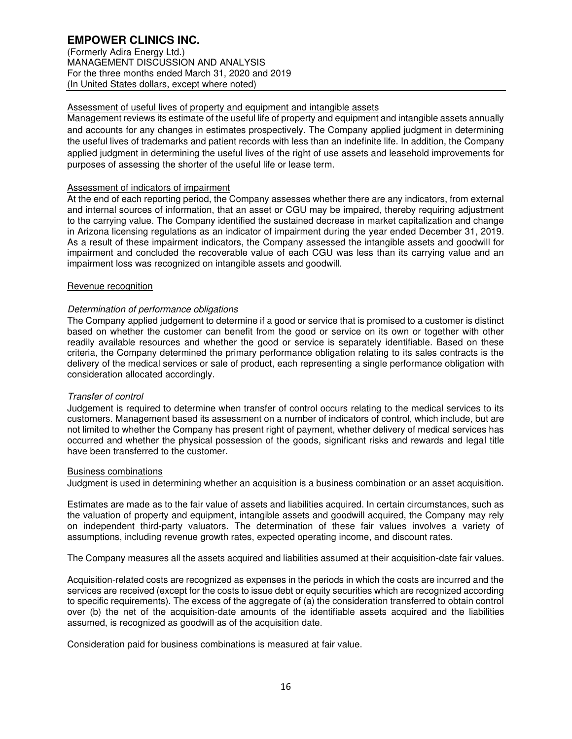# **EMPOWER CLINICS INC.**

(Formerly Adira Energy Ltd.) MANAGEMENT DISCUSSION AND ANALYSIS For the three months ended March 31, 2020 and 2019 (In United States dollars, except where noted)

# Assessment of useful lives of property and equipment and intangible assets

Management reviews its estimate of the useful life of property and equipment and intangible assets annually and accounts for any changes in estimates prospectively. The Company applied judgment in determining the useful lives of trademarks and patient records with less than an indefinite life. In addition, the Company applied judgment in determining the useful lives of the right of use assets and leasehold improvements for purposes of assessing the shorter of the useful life or lease term.

# Assessment of indicators of impairment

At the end of each reporting period, the Company assesses whether there are any indicators, from external and internal sources of information, that an asset or CGU may be impaired, thereby requiring adjustment to the carrying value. The Company identified the sustained decrease in market capitalization and change in Arizona licensing regulations as an indicator of impairment during the year ended December 31, 2019. As a result of these impairment indicators, the Company assessed the intangible assets and goodwill for impairment and concluded the recoverable value of each CGU was less than its carrying value and an impairment loss was recognized on intangible assets and goodwill.

### Revenue recognition

# Determination of performance obligations

The Company applied judgement to determine if a good or service that is promised to a customer is distinct based on whether the customer can benefit from the good or service on its own or together with other readily available resources and whether the good or service is separately identifiable. Based on these criteria, the Company determined the primary performance obligation relating to its sales contracts is the delivery of the medical services or sale of product, each representing a single performance obligation with consideration allocated accordingly.

### Transfer of control

Judgement is required to determine when transfer of control occurs relating to the medical services to its customers. Management based its assessment on a number of indicators of control, which include, but are not limited to whether the Company has present right of payment, whether delivery of medical services has occurred and whether the physical possession of the goods, significant risks and rewards and legal title have been transferred to the customer.

### Business combinations

Judgment is used in determining whether an acquisition is a business combination or an asset acquisition.

Estimates are made as to the fair value of assets and liabilities acquired. In certain circumstances, such as the valuation of property and equipment, intangible assets and goodwill acquired, the Company may rely on independent third-party valuators. The determination of these fair values involves a variety of assumptions, including revenue growth rates, expected operating income, and discount rates.

The Company measures all the assets acquired and liabilities assumed at their acquisition-date fair values.

Acquisition-related costs are recognized as expenses in the periods in which the costs are incurred and the services are received (except for the costs to issue debt or equity securities which are recognized according to specific requirements). The excess of the aggregate of (a) the consideration transferred to obtain control over (b) the net of the acquisition-date amounts of the identifiable assets acquired and the liabilities assumed, is recognized as goodwill as of the acquisition date.

Consideration paid for business combinations is measured at fair value.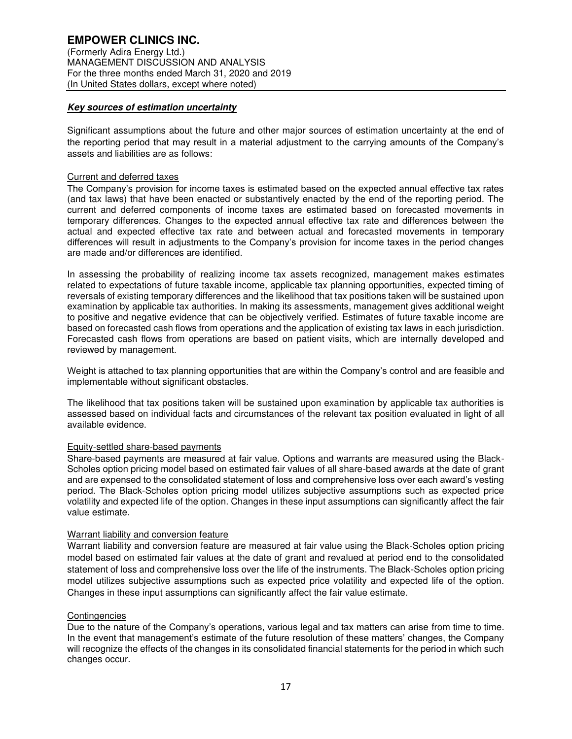# **Key sources of estimation uncertainty**

Significant assumptions about the future and other major sources of estimation uncertainty at the end of the reporting period that may result in a material adjustment to the carrying amounts of the Company's assets and liabilities are as follows:

### Current and deferred taxes

The Company's provision for income taxes is estimated based on the expected annual effective tax rates (and tax laws) that have been enacted or substantively enacted by the end of the reporting period. The current and deferred components of income taxes are estimated based on forecasted movements in temporary differences. Changes to the expected annual effective tax rate and differences between the actual and expected effective tax rate and between actual and forecasted movements in temporary differences will result in adjustments to the Company's provision for income taxes in the period changes are made and/or differences are identified.

In assessing the probability of realizing income tax assets recognized, management makes estimates related to expectations of future taxable income, applicable tax planning opportunities, expected timing of reversals of existing temporary differences and the likelihood that tax positions taken will be sustained upon examination by applicable tax authorities. In making its assessments, management gives additional weight to positive and negative evidence that can be objectively verified. Estimates of future taxable income are based on forecasted cash flows from operations and the application of existing tax laws in each jurisdiction. Forecasted cash flows from operations are based on patient visits, which are internally developed and reviewed by management.

Weight is attached to tax planning opportunities that are within the Company's control and are feasible and implementable without significant obstacles.

The likelihood that tax positions taken will be sustained upon examination by applicable tax authorities is assessed based on individual facts and circumstances of the relevant tax position evaluated in light of all available evidence.

### Equity-settled share-based payments

Share-based payments are measured at fair value. Options and warrants are measured using the Black-Scholes option pricing model based on estimated fair values of all share-based awards at the date of grant and are expensed to the consolidated statement of loss and comprehensive loss over each award's vesting period. The Black-Scholes option pricing model utilizes subjective assumptions such as expected price volatility and expected life of the option. Changes in these input assumptions can significantly affect the fair value estimate.

### Warrant liability and conversion feature

Warrant liability and conversion feature are measured at fair value using the Black-Scholes option pricing model based on estimated fair values at the date of grant and revalued at period end to the consolidated statement of loss and comprehensive loss over the life of the instruments. The Black-Scholes option pricing model utilizes subjective assumptions such as expected price volatility and expected life of the option. Changes in these input assumptions can significantly affect the fair value estimate.

### **Contingencies**

Due to the nature of the Company's operations, various legal and tax matters can arise from time to time. In the event that management's estimate of the future resolution of these matters' changes, the Company will recognize the effects of the changes in its consolidated financial statements for the period in which such changes occur.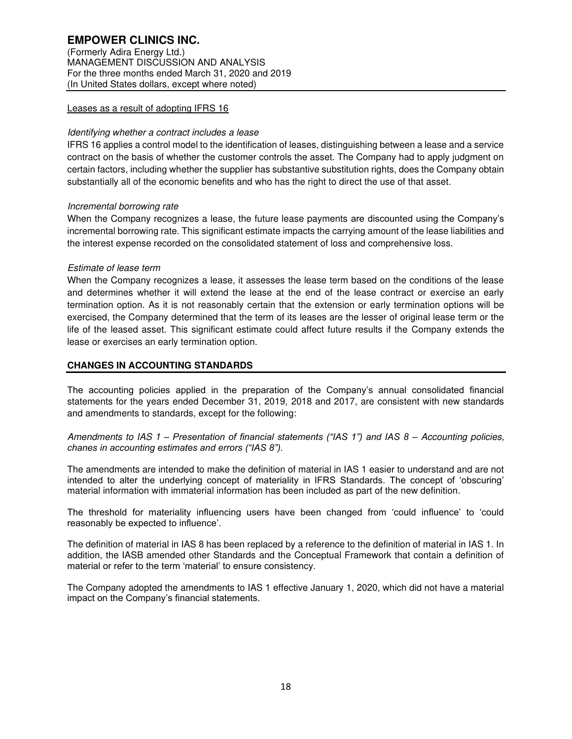(Formerly Adira Energy Ltd.) MANAGEMENT DISCUSSION AND ANALYSIS For the three months ended March 31, 2020 and 2019 (In United States dollars, except where noted)

# Leases as a result of adopting IFRS 16

# Identifying whether a contract includes a lease

IFRS 16 applies a control model to the identification of leases, distinguishing between a lease and a service contract on the basis of whether the customer controls the asset. The Company had to apply judgment on certain factors, including whether the supplier has substantive substitution rights, does the Company obtain substantially all of the economic benefits and who has the right to direct the use of that asset.

# Incremental borrowing rate

When the Company recognizes a lease, the future lease payments are discounted using the Company's incremental borrowing rate. This significant estimate impacts the carrying amount of the lease liabilities and the interest expense recorded on the consolidated statement of loss and comprehensive loss.

### Estimate of lease term

When the Company recognizes a lease, it assesses the lease term based on the conditions of the lease and determines whether it will extend the lease at the end of the lease contract or exercise an early termination option. As it is not reasonably certain that the extension or early termination options will be exercised, the Company determined that the term of its leases are the lesser of original lease term or the life of the leased asset. This significant estimate could affect future results if the Company extends the lease or exercises an early termination option.

# **CHANGES IN ACCOUNTING STANDARDS**

The accounting policies applied in the preparation of the Company's annual consolidated financial statements for the years ended December 31, 2019, 2018 and 2017, are consistent with new standards and amendments to standards, except for the following:

Amendments to IAS 1 *– Presentation of financial statements ("IAS 1") and IAS 8 –* Accounting policies, *chanes in accounting estimates and errors ("IAS 8").*

The amendments are intended to make the definition of material in IAS 1 easier to understand and are not intended to alter the underlying concept of materiality in IFRS Standards. The concept of 'obscuring' material information with immaterial information has been included as part of the new definition.

The threshold for materiality influencing users have been changed from 'could influence' to 'could reasonably be expected to influence'.

The definition of material in IAS 8 has been replaced by a reference to the definition of material in IAS 1. In addition, the IASB amended other Standards and the Conceptual Framework that contain a definition of material or refer to the term 'material' to ensure consistency.

The Company adopted the amendments to IAS 1 effective January 1, 2020, which did not have a material impact on the Company's financial statements.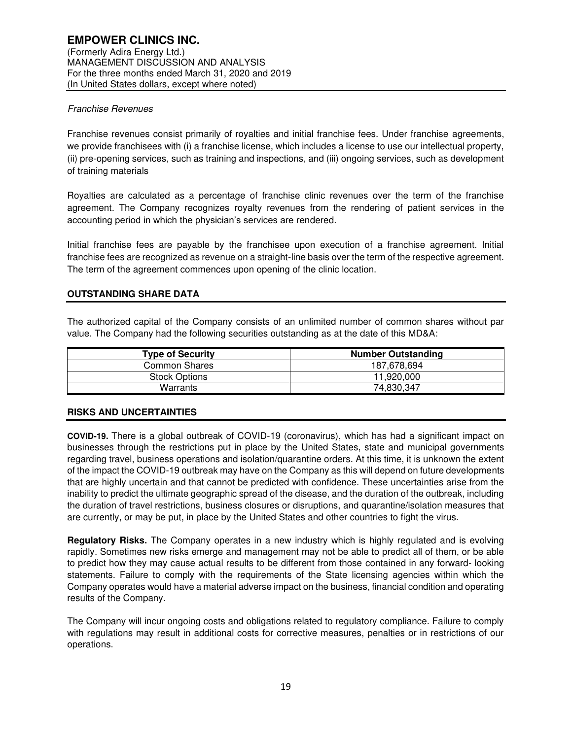# Franchise Revenues

Franchise revenues consist primarily of royalties and initial franchise fees. Under franchise agreements, we provide franchisees with (i) a franchise license, which includes a license to use our intellectual property, (ii) pre-opening services, such as training and inspections, and (iii) ongoing services, such as development of training materials

Royalties are calculated as a percentage of franchise clinic revenues over the term of the franchise agreement. The Company recognizes royalty revenues from the rendering of patient services in the accounting period in which the physician's services are rendered.

Initial franchise fees are payable by the franchisee upon execution of a franchise agreement. Initial franchise fees are recognized as revenue on a straight-line basis over the term of the respective agreement. The term of the agreement commences upon opening of the clinic location.

# **OUTSTANDING SHARE DATA**

The authorized capital of the Company consists of an unlimited number of common shares without par value. The Company had the following securities outstanding as at the date of this MD&A:

| <b>Type of Security</b> | <b>Number Outstanding</b> |  |  |
|-------------------------|---------------------------|--|--|
| Common Shares           | 187.678.694               |  |  |
| <b>Stock Options</b>    | 11.920.000                |  |  |
| Warrants                | 74,830,347                |  |  |

### **RISKS AND UNCERTAINTIES**

**COVID-19.** There is a global outbreak of COVID-19 (coronavirus), which has had a significant impact on businesses through the restrictions put in place by the United States, state and municipal governments regarding travel, business operations and isolation/quarantine orders. At this time, it is unknown the extent of the impact the COVID-19 outbreak may have on the Company as this will depend on future developments that are highly uncertain and that cannot be predicted with confidence. These uncertainties arise from the inability to predict the ultimate geographic spread of the disease, and the duration of the outbreak, including the duration of travel restrictions, business closures or disruptions, and quarantine/isolation measures that are currently, or may be put, in place by the United States and other countries to fight the virus.

**Regulatory Risks.** The Company operates in a new industry which is highly regulated and is evolving rapidly. Sometimes new risks emerge and management may not be able to predict all of them, or be able to predict how they may cause actual results to be different from those contained in any forward- looking statements. Failure to comply with the requirements of the State licensing agencies within which the Company operates would have a material adverse impact on the business, financial condition and operating results of the Company.

The Company will incur ongoing costs and obligations related to regulatory compliance. Failure to comply with regulations may result in additional costs for corrective measures, penalties or in restrictions of our operations.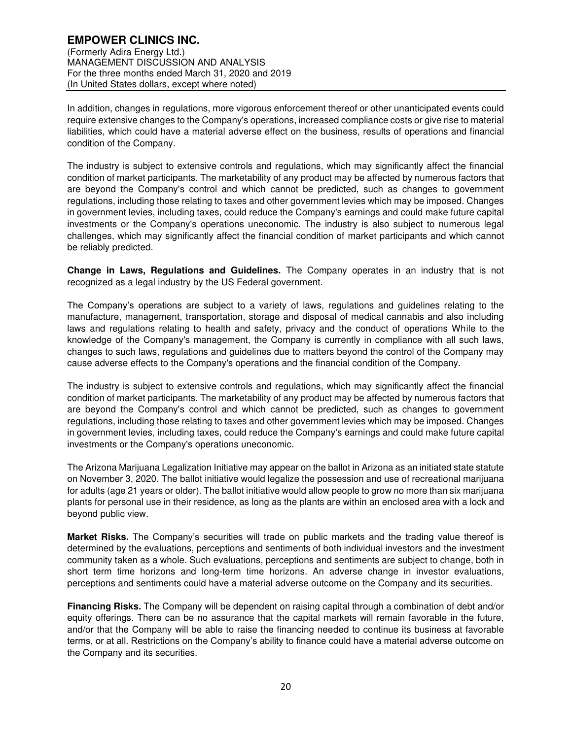## **EMPOWER CLINICS INC.**  (Formerly Adira Energy Ltd.) MANAGEMENT DISCUSSION AND ANALYSIS For the three months ended March 31, 2020 and 2019 (In United States dollars, except where noted)

In addition, changes in regulations, more vigorous enforcement thereof or other unanticipated events could require extensive changes to the Company's operations, increased compliance costs or give rise to material liabilities, which could have a material adverse effect on the business, results of operations and financial condition of the Company.

The industry is subject to extensive controls and regulations, which may significantly affect the financial condition of market participants. The marketability of any product may be affected by numerous factors that are beyond the Company's control and which cannot be predicted, such as changes to government regulations, including those relating to taxes and other government levies which may be imposed. Changes in government levies, including taxes, could reduce the Company's earnings and could make future capital investments or the Company's operations uneconomic. The industry is also subject to numerous legal challenges, which may significantly affect the financial condition of market participants and which cannot be reliably predicted.

**Change in Laws, Regulations and Guidelines.** The Company operates in an industry that is not recognized as a legal industry by the US Federal government.

The Company's operations are subject to a variety of laws, regulations and guidelines relating to the manufacture, management, transportation, storage and disposal of medical cannabis and also including laws and regulations relating to health and safety, privacy and the conduct of operations While to the knowledge of the Company's management, the Company is currently in compliance with all such laws, changes to such laws, regulations and guidelines due to matters beyond the control of the Company may cause adverse effects to the Company's operations and the financial condition of the Company.

The industry is subject to extensive controls and regulations, which may significantly affect the financial condition of market participants. The marketability of any product may be affected by numerous factors that are beyond the Company's control and which cannot be predicted, such as changes to government regulations, including those relating to taxes and other government levies which may be imposed. Changes in government levies, including taxes, could reduce the Company's earnings and could make future capital investments or the Company's operations uneconomic.

The Arizona Marijuana Legalization Initiative may appear on the ballot in Arizona as an initiated state statute on November 3, 2020. The ballot initiative would legalize the possession and use of recreational marijuana for adults (age 21 years or older). The ballot initiative would allow people to grow no more than six marijuana plants for personal use in their residence, as long as the plants are within an enclosed area with a lock and beyond public view.

**Market Risks.** The Company's securities will trade on public markets and the trading value thereof is determined by the evaluations, perceptions and sentiments of both individual investors and the investment community taken as a whole. Such evaluations, perceptions and sentiments are subject to change, both in short term time horizons and long-term time horizons. An adverse change in investor evaluations, perceptions and sentiments could have a material adverse outcome on the Company and its securities.

**Financing Risks.** The Company will be dependent on raising capital through a combination of debt and/or equity offerings. There can be no assurance that the capital markets will remain favorable in the future, and/or that the Company will be able to raise the financing needed to continue its business at favorable terms, or at all. Restrictions on the Company's ability to finance could have a material adverse outcome on the Company and its securities.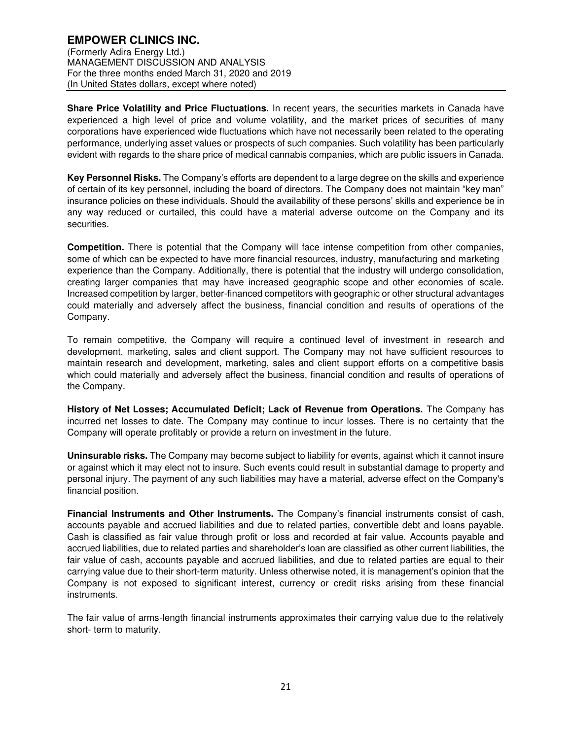**Share Price Volatility and Price Fluctuations.** In recent years, the securities markets in Canada have experienced a high level of price and volume volatility, and the market prices of securities of many corporations have experienced wide fluctuations which have not necessarily been related to the operating performance, underlying asset values or prospects of such companies. Such volatility has been particularly evident with regards to the share price of medical cannabis companies, which are public issuers in Canada.

**Key Personnel Risks.** The Company's efforts are dependent to a large degree on the skills and experience of certain of its key personnel, including the board of directors. The Company does not maintain "key man" insurance policies on these individuals. Should the availability of these persons' skills and experience be in any way reduced or curtailed, this could have a material adverse outcome on the Company and its securities.

**Competition.** There is potential that the Company will face intense competition from other companies, some of which can be expected to have more financial resources, industry, manufacturing and marketing experience than the Company. Additionally, there is potential that the industry will undergo consolidation, creating larger companies that may have increased geographic scope and other economies of scale. Increased competition by larger, better-financed competitors with geographic or other structural advantages could materially and adversely affect the business, financial condition and results of operations of the Company.

To remain competitive, the Company will require a continued level of investment in research and development, marketing, sales and client support. The Company may not have sufficient resources to maintain research and development, marketing, sales and client support efforts on a competitive basis which could materially and adversely affect the business, financial condition and results of operations of the Company.

**History of Net Losses; Accumulated Deficit; Lack of Revenue from Operations.** The Company has incurred net losses to date. The Company may continue to incur losses. There is no certainty that the Company will operate profitably or provide a return on investment in the future.

**Uninsurable risks.** The Company may become subject to liability for events, against which it cannot insure or against which it may elect not to insure. Such events could result in substantial damage to property and personal injury. The payment of any such liabilities may have a material, adverse effect on the Company's financial position.

**Financial Instruments and Other Instruments.** The Company's financial instruments consist of cash, accounts payable and accrued liabilities and due to related parties, convertible debt and loans payable. Cash is classified as fair value through profit or loss and recorded at fair value. Accounts payable and accrued liabilities, due to related parties and shareholder's loan are classified as other current liabilities, the fair value of cash, accounts payable and accrued liabilities, and due to related parties are equal to their carrying value due to their short-term maturity. Unless otherwise noted, it is management's opinion that the Company is not exposed to significant interest, currency or credit risks arising from these financial instruments.

The fair value of arms-length financial instruments approximates their carrying value due to the relatively short- term to maturity.